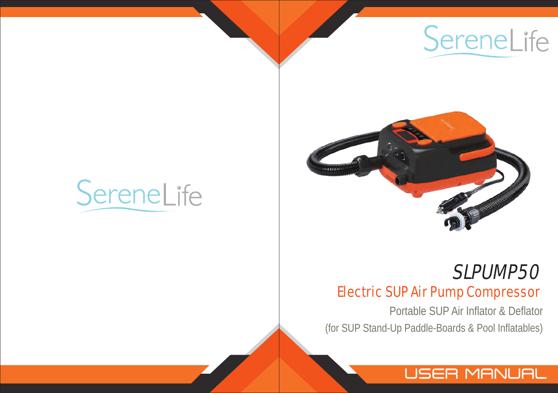

# SereneLife



# SLPUMP50

### Electric SUP Air Pump Compressor

Portable SUP Air Inflator & Deflator (for SUP Stand-Up Paddle-Boards & Pool Inflatables)

## **USER MANUAL**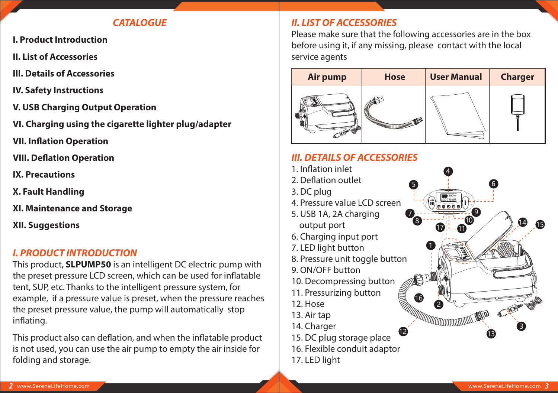#### *CATALOGUE*

- **I. Product Introduction**
- **II. List of Accessories**
- **III. Details of Accessories**
- **IV. Safety Instructions**
- **V. USB Charging Output Operation**
- **VI. Charging using the cigarette lighter plug/adapter**
- **VII. Inflation Operation**
- **VIII. Deflation Operation**
- **IX. Precautions**
- **X. Fault Handling**
- **XI. Maintenance and Storage**
- **XII. Suggestions**

#### *I. PRODUCT INTRODUCTION*

This product, **SLPUMP50** is an intelligent DC electric pump with the preset pressure LCD screen, which can be used for inflatable tent, SUP, etc. Thanks to the intelligent pressure system, for example, if a pressure value is preset, when the pressure reaches the preset pressure value, the pump will automatically stop inflating.

This product also can deflation, and when the inflatable product is not used, you can use the air pump to empty the air inside for folding and storage.

#### *II. LIST OF ACCESSORIES*

Please make sure that the following accessories are in the box before using it, if any missing, please contact with the local service agents



7 8

1

17

2

16

 $\mathbf 12$  13  $\mathbf 13$  13  $\mathbf 13$ 

a kacamatan ing Kabupatèn Timur Kabupatèn Timur Kabupatèn Timur Kabupatèn Timur Kabupatèn Timur Ka

4 5 6

> 0000 .. 100%

> > 11

10 9

mo

#### *III. DETAILS OF ACCESSORIES*

- 1. Inflation inlet
- 2. Deflation outlet
- 3. DC plug
- 4. Pressure value LCD screen
- 5. USB 1A, 2A charging output port
- 6. Charging input port
- 7. LED light button
- 8. Pressure unit toggle button
- 9. ON/OFF button
- 10. Decompressing button
- 11. Pressurizing button
- 12. Hose
- 13. Air tap
- 14. Charger
- 15. DC plug storage place
- 16. Flexible conduit adaptor
- 17. LED light

3

14 15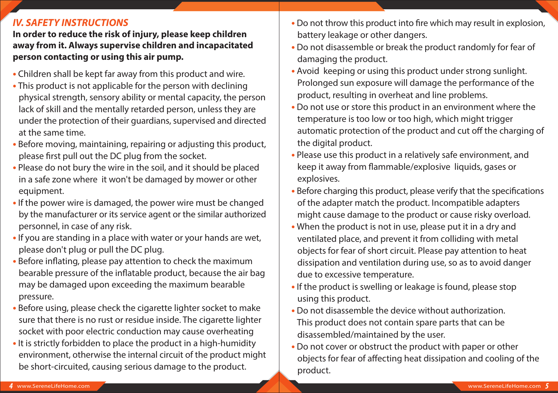#### *IV. SAFETY INSTRUCTIONS*

**In order to reduce the risk of injury, please keep children away from it. Always supervise children and incapacitated person contacting or using this air pump.**

- Children shall be kept far away from this product and wire.
- This product is not applicable for the person with declining physical strength, sensory ability or mental capacity, the person lack of skill and the mentally retarded person, unless they are under the protection of their guardians, supervised and directed at the same time.
- Before moving, maintaining, repairing or adjusting this product, please first pull out the DC plug from the socket.
- Please do not bury the wire in the soil, and it should be placed in a safe zone where it won't be damaged by mower or other equipment.
- If the power wire is damaged, the power wire must be changed by the manufacturer or its service agent or the similar authorized personnel, in case of any risk.
- If you are standing in a place with water or your hands are wet, please don't plug or pull the DC plug.
- Before inflating, please pay attention to check the maximum bearable pressure of the inflatable product, because the air bag may be damaged upon exceeding the maximum bearable pressure.
- Before using, please check the cigarette lighter socket to make sure that there is no rust or residue inside. The cigarette lighter socket with poor electric conduction may cause overheating
- It is strictly forbidden to place the product in a high-humidity environment, otherwise the internal circuit of the product might be short-circuited, causing serious damage to the product.
- Do not throw this product into fire which may result in explosion, battery leakage or other dangers.
- Do not disassemble or break the product randomly for fear of damaging the product.
- Avoid keeping or using this product under strong sunlight. Prolonged sun exposure will damage the performance of the product, resulting in overheat and line problems.
- Do not use or store this product in an environment where the temperature is too low or too high, which might trigger automatic protection of the product and cut off the charging of the digital product.
- Please use this product in a relatively safe environment, and keep it away from flammable/explosive liquids, gases or explosives.
- Before charging this product, please verify that the specifications of the adapter match the product. Incompatible adapters might cause damage to the product or cause risky overload.
- When the product is not in use, please put it in a dry and ventilated place, and prevent it from colliding with metal objects for fear of short circuit. Please pay attention to heat dissipation and ventilation during use, so as to avoid danger due to excessive temperature.
- If the product is swelling or leakage is found, please stop using this product.
- Do not disassemble the device without authorization. This product does not contain spare parts that can be disassembled/maintained by the user.
- Do not cover or obstruct the product with paper or other objects for fear of affecting heat dissipation and cooling of the product.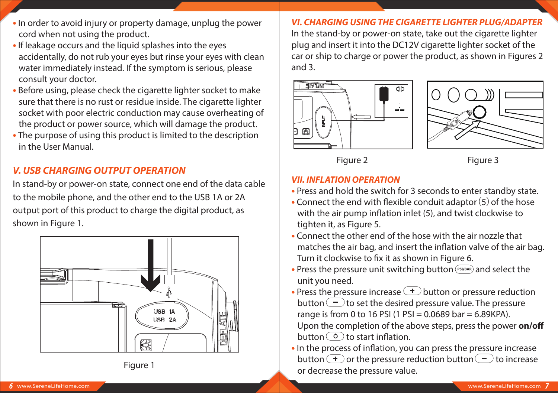- In order to avoid injury or property damage, unplug the power cord when not using the product.
- If leakage occurs and the liquid splashes into the eyes accidentally, do not rub your eyes but rinse your eyes with clean water immediately instead. If the symptom is serious, please consult your doctor.
- Before using, please check the cigarette lighter socket to make sure that there is no rust or residue inside. The cigarette lighter socket with poor electric conduction may cause overheating of the product or power source, which will damage the product.
- The purpose of using this product is limited to the description in the User Manual.

#### *V. USB CHARGING OUTPUT OPERATION*

In stand-by or power-on state, connect one end of the data cable to the mobile phone, and the other end to the USB 1A or 2A output port of this product to charge the digital product, as shown in Figure 1.





#### *VI. CHARGING USING THE CIGARETTE LIGHTER PLUG/ADAPTER*

In the stand-by or power-on state, take out the cigarette lighter plug and insert it into the DC12V cigarette lighter socket of the car or ship to charge or power the product, as shown in Figures 2 and 3.





Figure 2 Figure 3

#### *VII. INFLATION OPERATION*

- Press and hold the switch for 3 seconds to enter standby state.
- Connect the end with flexible conduit adaptor (5) of the hose with the air pump inflation inlet  $(5)$ , and twist clockwise to tighten it, as Figure 5.
- Connect the other end of the hose with the air nozzle that matches the air bag, and insert the inflation valve of the air bag. Turn it clockwise to fix it as shown in Figure 6.
- Press the pressure unit switching button (PSI/BAR) and select the unit you need.
- Press the pressure increase **button** or pressure reduction button  $\bigcirc$  to set the desired pressure value. The pressure range is from 0 to 16 PSI (1 PSI =  $0.0689$  bar =  $6.89$ KPA). Upon the completion of the above steps, press the power **on/o** button  $\circ$  to start inflation.
- In the process of inflation, you can press the pressure increase button  $\bigodot$  or the pressure reduction button  $\bigodot$  to increase or decrease the pressure value.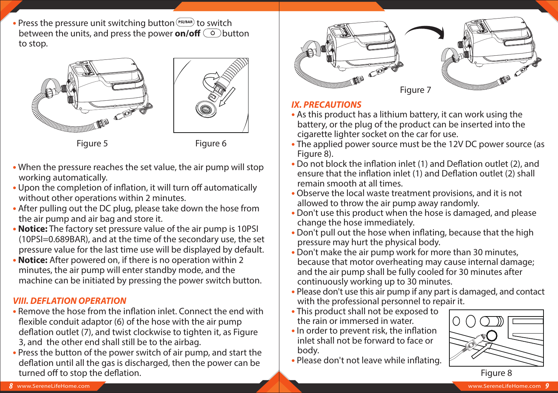• Press the pressure unit switching button<sup>(PSI/BAR)</sup> to switch between the units, and press the power **on/off**  $\odot$  button to stop.





Figure 5 Figure 6

- When the pressure reaches the set value, the air pump will stop working automatically.
- Upon the completion of inflation, it will turn off automatically without other operations within 2 minutes.
- After pulling out the DC plug, please take down the hose from the air pump and air bag and store it.
- **Notice:** The factory set pressure value of the air pump is 10PSI (10PSI=0.689BAR), and at the time of the secondary use, the set pressure value for the last time use will be displayed by default.
- **Notice:** After powered on, if there is no operation within 2 minutes, the air pump will enter standby mode, and the machine can be initiated by pressing the power switch button.

#### *VIII. DEFLATION OPERATION*

- Remove the hose from the inflation inlet. Connect the end with flexible conduit adaptor (6) of the hose with the air pump deflation outlet (7), and twist clockwise to tighten it, as Figure 3, and the other end shall still be to the airbag.
- Press the button of the power switch of air pump, and start the deflation until all the gas is discharged, then the power can be turned off to stop the deflation.



#### *IX. PRECAUTIONS*

- As this product has a lithium battery, it can work using the battery, or the plug of the product can be inserted into the cigarette lighter socket on the car for use.
- The applied power source must be the 12V DC power source (as Figure 8).
- Do not block the inflation inlet (1) and Deflation outlet (2), and ensure that the inflation inlet (1) and Deflation outlet (2) shall remain smooth at all times.
- Observe the local waste treatment provisions, and it is not allowed to throw the air pump away randomly.
- Don't use this product when the hose is damaged, and please change the hose immediately.
- Don't pull out the hose when inflating, because that the high pressure may hurt the physical body.
- Don't make the air pump work for more than 30 minutes, because that motor overheating may cause internal damage; and the air pump shall be fully cooled for 30 minutes after continuously working up to 30 minutes.
- Please don't use this air pump if any part is damaged, and contact with the professional personnel to repair it.
- This product shall not be exposed to the rain or immersed in water.
- In order to prevent risk, the inflation inlet shall not be forward to face or body.
- Please don't not leave while inflating.

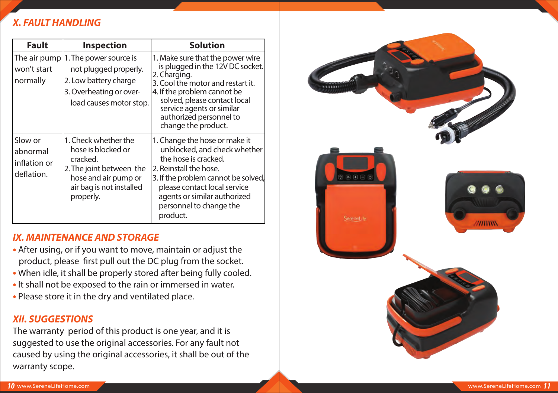#### *X. FAULT HANDLING*

| Fault                                             | <b>Inspection</b>                                                                                                                                   | <b>Solution</b>                                                                                                                                                                                                                                                         |
|---------------------------------------------------|-----------------------------------------------------------------------------------------------------------------------------------------------------|-------------------------------------------------------------------------------------------------------------------------------------------------------------------------------------------------------------------------------------------------------------------------|
| The air pump<br>won't start<br>normally           | 1. The power source is<br>not plugged properly.<br>2. Low battery charge<br>3. Overheating or over-<br>load causes motor stop.                      | 1. Make sure that the power wire<br>is plugged in the 12V DC socket.<br>2. Charging.<br>3. Cool the motor and restart it.<br>4. If the problem cannot be<br>solved, please contact local<br>service agents or similar<br>authorized personnel to<br>change the product. |
| Slow or<br>abnormal<br>inflation or<br>deflation. | 1. Check whether the<br>hose is blocked or<br>cracked.<br>2. The joint between the<br>hose and air pump or<br>air bag is not installed<br>properly. | 1. Change the hose or make it<br>unblocked, and check whether<br>the hose is cracked.<br>2. Reinstall the hose.<br>3. If the problem cannot be solved,<br>please contact local service<br>agents or similar authorized<br>personnel to change the<br>product.           |

#### *IX. MAINTENANCE AND STORAGE*

- After using, or if you want to move, maintain or adjust the product, please first pull out the DC plug from the socket.
- When idle, it shall be properly stored after being fully cooled.
- It shall not be exposed to the rain or immersed in water.
- Please store it in the dry and ventilated place.

#### *XII. SUGGESTIONS*

The warranty period of this product is one year, and it is suggested to use the original accessories. For any fault not caused by using the original accessories, it shall be out of the warranty scope.